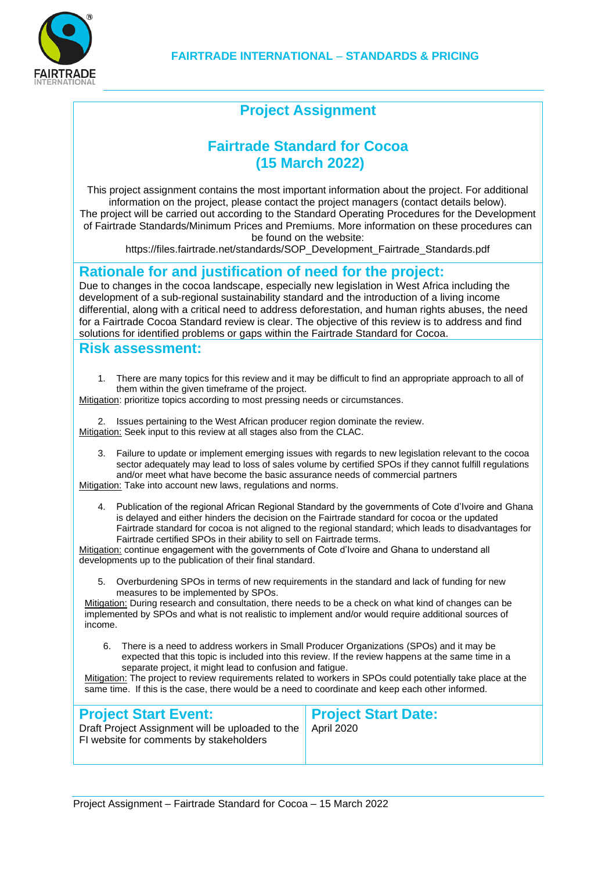

# **Project Assignment**

### **Fairtrade Standard for Cocoa (15 March 2022)**

This project assignment contains the most important information about the project. For additional information on the project, please contact the project managers (contact details below). The project will be carried out according to the Standard Operating Procedures for the Development of Fairtrade Standards/Minimum Prices and Premiums. More information on these procedures can be found on the website:

https://files.fairtrade.net/standards/SOP\_Development\_Fairtrade\_Standards.pdf

#### **Rationale for and justification of need for the project:**

Due to changes in the cocoa landscape, especially new legislation in West Africa including the development of a sub-regional sustainability standard and the introduction of a living income differential, along with a critical need to address deforestation, and human rights abuses, the need for a Fairtrade Cocoa Standard review is clear. The objective of this review is to address and find solutions for identified problems or gaps within the Fairtrade Standard for Cocoa.

#### **Risk assessment:**

1. There are many topics for this review and it may be difficult to find an appropriate approach to all of them within the given timeframe of the project.

Mitigation: prioritize topics according to most pressing needs or circumstances.

2. Issues pertaining to the West African producer region dominate the review. Mitigation: Seek input to this review at all stages also from the CLAC.

3. Failure to update or implement emerging issues with regards to new legislation relevant to the cocoa sector adequately may lead to loss of sales volume by certified SPOs if they cannot fulfill regulations and/or meet what have become the basic assurance needs of commercial partners

Mitigation: Take into account new laws, regulations and norms.

4. Publication of the regional African Regional Standard by the governments of Cote d'Ivoire and Ghana is delayed and either hinders the decision on the Fairtrade standard for cocoa or the updated Fairtrade standard for cocoa is not aligned to the regional standard; which leads to disadvantages for Fairtrade certified SPOs in their ability to sell on Fairtrade terms.

Mitigation: continue engagement with the governments of Cote d'Ivoire and Ghana to understand all developments up to the publication of their final standard.

5. Overburdening SPOs in terms of new requirements in the standard and lack of funding for new measures to be implemented by SPOs.

Mitigation: During research and consultation, there needs to be a check on what kind of changes can be implemented by SPOs and what is not realistic to implement and/or would require additional sources of income.

6. There is a need to address workers in Small Producer Organizations (SPOs) and it may be expected that this topic is included into this review. If the review happens at the same time in a separate project, it might lead to confusion and fatigue.

Mitigation: The project to review requirements related to workers in SPOs could potentially take place at the same time. If this is the case, there would be a need to coordinate and keep each other informed.

| <b>Project Start Event:</b>                                                                              | <b>Project Start Date:</b> |
|----------------------------------------------------------------------------------------------------------|----------------------------|
| Draft Project Assignment will be uploaded to the   April 2020<br>FI website for comments by stakeholders |                            |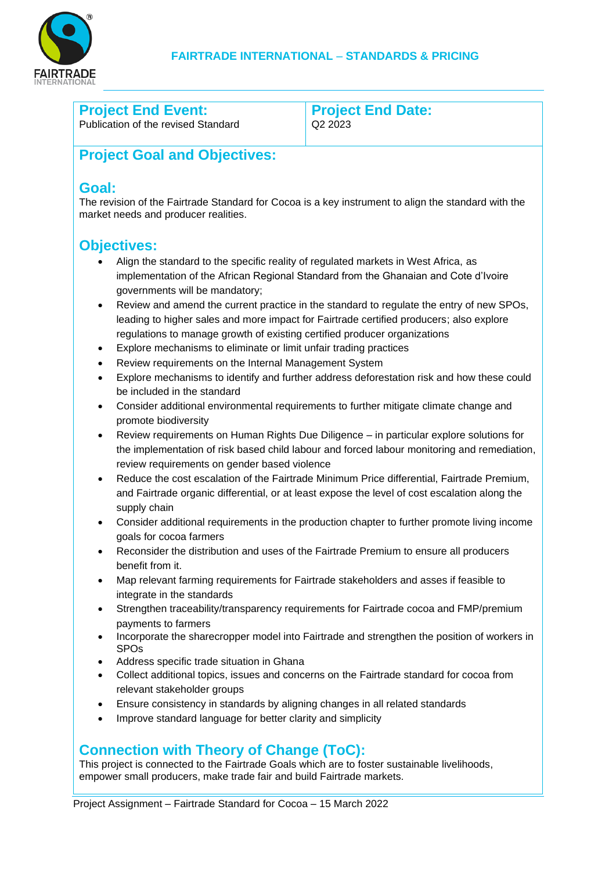

### **Project End Event:**

Publication of the revised Standard

**Project End Date:** Q2 2023

# **Project Goal and Objectives:**

### **Goal:**

The revision of the Fairtrade Standard for Cocoa is a key instrument to align the standard with the market needs and producer realities.

## **Objectives:**

- Align the standard to the specific reality of regulated markets in West Africa, as implementation of the African Regional Standard from the Ghanaian and Cote d'Ivoire governments will be mandatory;
- Review and amend the current practice in the standard to regulate the entry of new SPOs, leading to higher sales and more impact for Fairtrade certified producers; also explore regulations to manage growth of existing certified producer organizations
- Explore mechanisms to eliminate or limit unfair trading practices
- Review requirements on the Internal Management System
- Explore mechanisms to identify and further address deforestation risk and how these could be included in the standard
- Consider additional environmental requirements to further mitigate climate change and promote biodiversity
- Review requirements on Human Rights Due Diligence in particular explore solutions for the implementation of risk based child labour and forced labour monitoring and remediation, review requirements on gender based violence
- Reduce the cost escalation of the Fairtrade Minimum Price differential, Fairtrade Premium, and Fairtrade organic differential, or at least expose the level of cost escalation along the supply chain
- Consider additional requirements in the production chapter to further promote living income goals for cocoa farmers
- Reconsider the distribution and uses of the Fairtrade Premium to ensure all producers benefit from it.
- Map relevant farming requirements for Fairtrade stakeholders and asses if feasible to integrate in the standards
- Strengthen traceability/transparency requirements for Fairtrade cocoa and FMP/premium payments to farmers
- Incorporate the sharecropper model into Fairtrade and strengthen the position of workers in SPOs
- Address specific trade situation in Ghana
- Collect additional topics, issues and concerns on the Fairtrade standard for cocoa from relevant stakeholder groups
- Ensure consistency in standards by aligning changes in all related standards
- Improve standard language for better clarity and simplicity

## **Connection with Theory of Change (ToC):**

This project is connected to the Fairtrade Goals which are to foster sustainable livelihoods, empower small producers, make trade fair and build Fairtrade markets.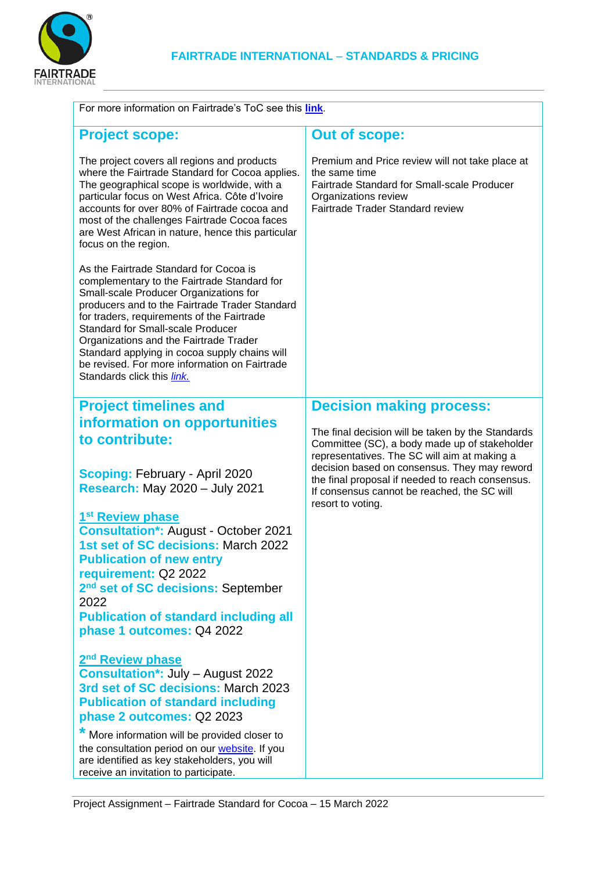

| For more information on Fairtrade's ToC see this link.                                                                                                                                                                                                                                                                                                                                                                                                        |                                                                                                                                                                                                                                                                                                       |  |
|---------------------------------------------------------------------------------------------------------------------------------------------------------------------------------------------------------------------------------------------------------------------------------------------------------------------------------------------------------------------------------------------------------------------------------------------------------------|-------------------------------------------------------------------------------------------------------------------------------------------------------------------------------------------------------------------------------------------------------------------------------------------------------|--|
| <b>Project scope:</b>                                                                                                                                                                                                                                                                                                                                                                                                                                         | <b>Out of scope:</b>                                                                                                                                                                                                                                                                                  |  |
| The project covers all regions and products<br>where the Fairtrade Standard for Cocoa applies.<br>The geographical scope is worldwide, with a<br>particular focus on West Africa. Côte d'Ivoire<br>accounts for over 80% of Fairtrade cocoa and<br>most of the challenges Fairtrade Cocoa faces<br>are West African in nature, hence this particular<br>focus on the region.                                                                                  | Premium and Price review will not take place at<br>the same time<br>Fairtrade Standard for Small-scale Producer<br>Organizations review<br>Fairtrade Trader Standard review                                                                                                                           |  |
| As the Fairtrade Standard for Cocoa is<br>complementary to the Fairtrade Standard for<br>Small-scale Producer Organizations for<br>producers and to the Fairtrade Trader Standard<br>for traders, requirements of the Fairtrade<br><b>Standard for Small-scale Producer</b><br>Organizations and the Fairtrade Trader<br>Standard applying in cocoa supply chains will<br>be revised. For more information on Fairtrade<br>Standards click this <i>link</i> . |                                                                                                                                                                                                                                                                                                       |  |
| <b>Project timelines and</b>                                                                                                                                                                                                                                                                                                                                                                                                                                  | <b>Decision making process:</b>                                                                                                                                                                                                                                                                       |  |
| information on opportunities                                                                                                                                                                                                                                                                                                                                                                                                                                  |                                                                                                                                                                                                                                                                                                       |  |
| to contribute:<br><b>Scoping: February - April 2020</b><br><b>Research: May 2020 - July 2021</b>                                                                                                                                                                                                                                                                                                                                                              | The final decision will be taken by the Standards<br>Committee (SC), a body made up of stakeholder<br>representatives. The SC will aim at making a<br>decision based on consensus. They may reword<br>the final proposal if needed to reach consensus.<br>If consensus cannot be reached, the SC will |  |
|                                                                                                                                                                                                                                                                                                                                                                                                                                                               | resort to voting.                                                                                                                                                                                                                                                                                     |  |
| 1 <sup>st</sup> Review phase                                                                                                                                                                                                                                                                                                                                                                                                                                  |                                                                                                                                                                                                                                                                                                       |  |
| <b>Consultation*: August - October 2021</b>                                                                                                                                                                                                                                                                                                                                                                                                                   |                                                                                                                                                                                                                                                                                                       |  |
| 1st set of SC decisions: March 2022<br><b>Publication of new entry</b>                                                                                                                                                                                                                                                                                                                                                                                        |                                                                                                                                                                                                                                                                                                       |  |
| requirement: Q2 2022                                                                                                                                                                                                                                                                                                                                                                                                                                          |                                                                                                                                                                                                                                                                                                       |  |
| 2 <sup>nd</sup> set of SC decisions: September                                                                                                                                                                                                                                                                                                                                                                                                                |                                                                                                                                                                                                                                                                                                       |  |
| 2022                                                                                                                                                                                                                                                                                                                                                                                                                                                          |                                                                                                                                                                                                                                                                                                       |  |
| <b>Publication of standard including all</b>                                                                                                                                                                                                                                                                                                                                                                                                                  |                                                                                                                                                                                                                                                                                                       |  |
| phase 1 outcomes: Q4 2022                                                                                                                                                                                                                                                                                                                                                                                                                                     |                                                                                                                                                                                                                                                                                                       |  |
| 2 <sup>nd</sup> Review phase                                                                                                                                                                                                                                                                                                                                                                                                                                  |                                                                                                                                                                                                                                                                                                       |  |
| <b>Consultation*: July - August 2022</b>                                                                                                                                                                                                                                                                                                                                                                                                                      |                                                                                                                                                                                                                                                                                                       |  |
| 3rd set of SC decisions: March 2023                                                                                                                                                                                                                                                                                                                                                                                                                           |                                                                                                                                                                                                                                                                                                       |  |
| <b>Publication of standard including</b>                                                                                                                                                                                                                                                                                                                                                                                                                      |                                                                                                                                                                                                                                                                                                       |  |
| phase 2 outcomes: Q2 2023                                                                                                                                                                                                                                                                                                                                                                                                                                     |                                                                                                                                                                                                                                                                                                       |  |
| More information will be provided closer to<br>the consultation period on our website. If you<br>are identified as key stakeholders, you will<br>receive an invitation to participate.                                                                                                                                                                                                                                                                        |                                                                                                                                                                                                                                                                                                       |  |

Project Assignment – Fairtrade Standard for Cocoa – 15 March 2022